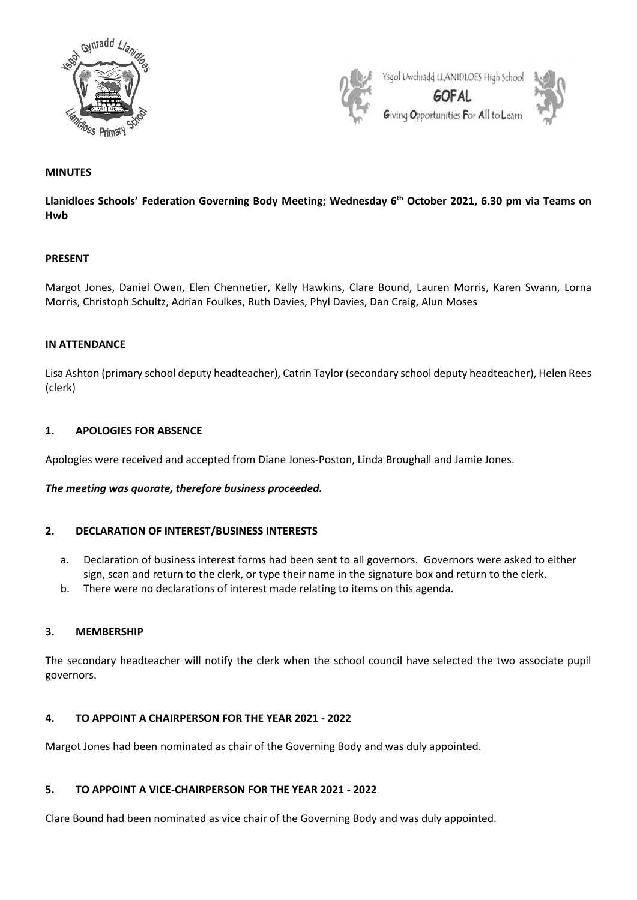



## **MINUTES**

**Llanidloes Schools' Federation Governing Body Meeting; Wednesday 6 th October 2021, 6.30 pm via Teams on Hwb**

#### **PRESENT**

Margot Jones, Daniel Owen, Elen Chennetier, Kelly Hawkins, Clare Bound, Lauren Morris, Karen Swann, Lorna Morris, Christoph Schultz, Adrian Foulkes, Ruth Davies, Phyl Davies, Dan Craig, Alun Moses

#### **IN ATTENDANCE**

Lisa Ashton (primary school deputy headteacher), Catrin Taylor (secondary school deputy headteacher), Helen Rees (clerk)

### **1. APOLOGIES FOR ABSENCE**

Apologies were received and accepted from Diane Jones-Poston, Linda Broughall and Jamie Jones.

#### *The meeting was quorate, therefore business proceeded.*

### **2. DECLARATION OF INTEREST/BUSINESS INTERESTS**

- a. Declaration of business interest forms had been sent to all governors. Governors were asked to either sign, scan and return to the clerk, or type their name in the signature box and return to the clerk.
- b. There were no declarations of interest made relating to items on this agenda.

#### **3. MEMBERSHIP**

The secondary headteacher will notify the clerk when the school council have selected the two associate pupil governors.

#### **4. TO APPOINT A CHAIRPERSON FOR THE YEAR 2021 - 2022**

Margot Jones had been nominated as chair of the Governing Body and was duly appointed.

### **5. TO APPOINT A VICE-CHAIRPERSON FOR THE YEAR 2021 - 2022**

Clare Bound had been nominated as vice chair of the Governing Body and was duly appointed.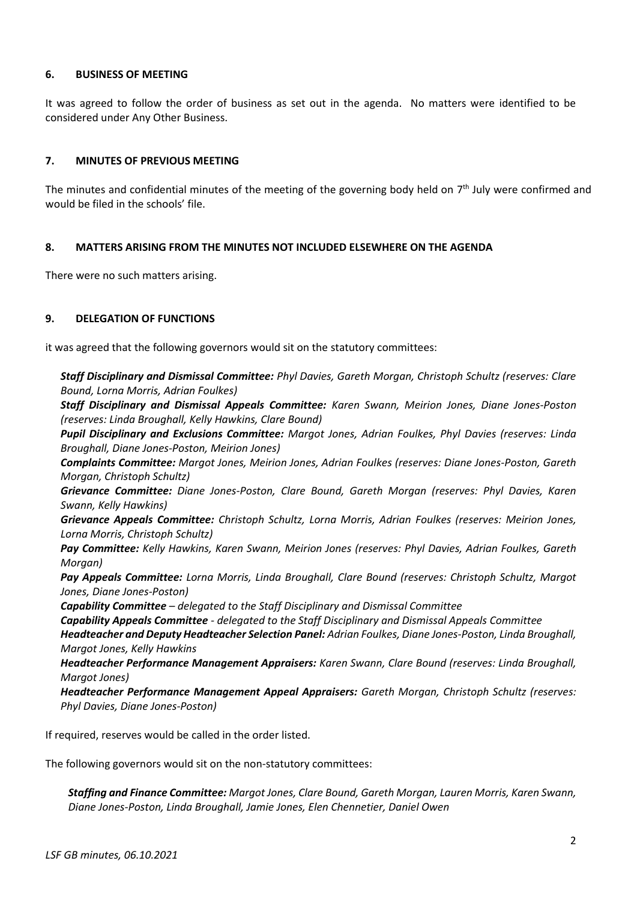### **6. BUSINESS OF MEETING**

It was agreed to follow the order of business as set out in the agenda. No matters were identified to be considered under Any Other Business.

## **7. MINUTES OF PREVIOUS MEETING**

The minutes and confidential minutes of the meeting of the governing body held on 7<sup>th</sup> July were confirmed and would be filed in the schools' file.

#### **8. MATTERS ARISING FROM THE MINUTES NOT INCLUDED ELSEWHERE ON THE AGENDA**

There were no such matters arising.

#### **9. DELEGATION OF FUNCTIONS**

it was agreed that the following governors would sit on the statutory committees:

*Staff Disciplinary and Dismissal Committee: Phyl Davies, Gareth Morgan, Christoph Schultz (reserves: Clare Bound, Lorna Morris, Adrian Foulkes)*

*Staff Disciplinary and Dismissal Appeals Committee: Karen Swann, Meirion Jones, Diane Jones-Poston (reserves: Linda Broughall, Kelly Hawkins, Clare Bound)*

*Pupil Disciplinary and Exclusions Committee: Margot Jones, Adrian Foulkes, Phyl Davies (reserves: Linda Broughall, Diane Jones-Poston, Meirion Jones)*

*Complaints Committee: Margot Jones, Meirion Jones, Adrian Foulkes (reserves: Diane Jones-Poston, Gareth Morgan, Christoph Schultz)*

*Grievance Committee: Diane Jones-Poston, Clare Bound, Gareth Morgan (reserves: Phyl Davies, Karen Swann, Kelly Hawkins)*

*Grievance Appeals Committee: Christoph Schultz, Lorna Morris, Adrian Foulkes (reserves: Meirion Jones, Lorna Morris, Christoph Schultz)*

*Pay Committee: Kelly Hawkins, Karen Swann, Meirion Jones (reserves: Phyl Davies, Adrian Foulkes, Gareth Morgan)*

*Pay Appeals Committee: Lorna Morris, Linda Broughall, Clare Bound (reserves: Christoph Schultz, Margot Jones, Diane Jones-Poston)*

*Capability Committee – delegated to the Staff Disciplinary and Dismissal Committee*

*Capability Appeals Committee - delegated to the Staff Disciplinary and Dismissal Appeals Committee*

*Headteacher and Deputy Headteacher Selection Panel: Adrian Foulkes, Diane Jones-Poston, Linda Broughall, Margot Jones, Kelly Hawkins*

*Headteacher Performance Management Appraisers: Karen Swann, Clare Bound (reserves: Linda Broughall, Margot Jones)*

*Headteacher Performance Management Appeal Appraisers: Gareth Morgan, Christoph Schultz (reserves: Phyl Davies, Diane Jones-Poston)*

If required, reserves would be called in the order listed.

The following governors would sit on the non-statutory committees:

*Staffing and Finance Committee: Margot Jones, Clare Bound, Gareth Morgan, Lauren Morris, Karen Swann, Diane Jones-Poston, Linda Broughall, Jamie Jones, Elen Chennetier, Daniel Owen*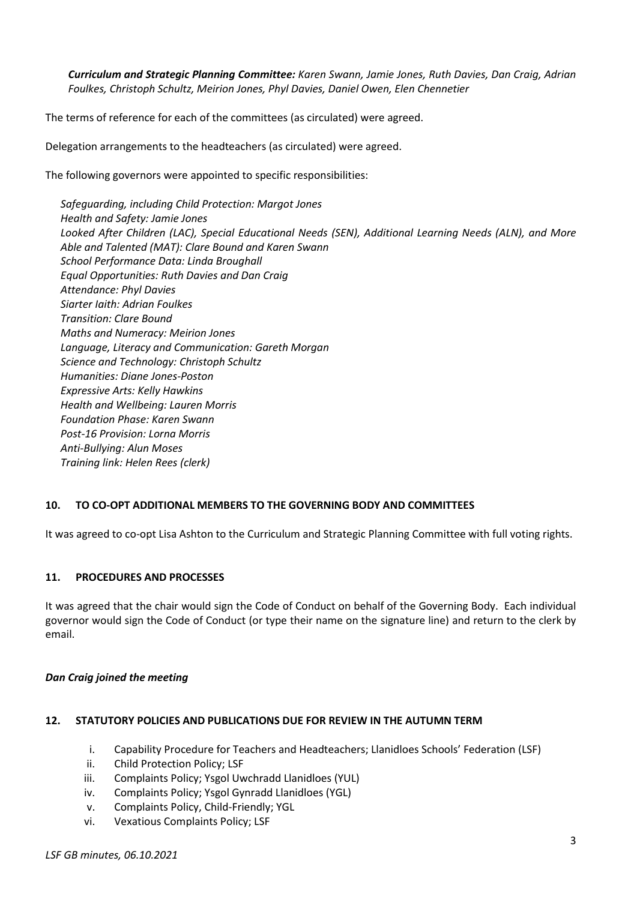*Curriculum and Strategic Planning Committee: Karen Swann, Jamie Jones, Ruth Davies, Dan Craig, Adrian Foulkes, Christoph Schultz, Meirion Jones, Phyl Davies, Daniel Owen, Elen Chennetier*

The terms of reference for each of the committees (as circulated) were agreed.

Delegation arrangements to the headteachers (as circulated) were agreed.

The following governors were appointed to specific responsibilities:

*Safeguarding, including Child Protection: Margot Jones Health and Safety: Jamie Jones Looked After Children (LAC), Special Educational Needs (SEN), Additional Learning Needs (ALN), and More Able and Talented (MAT): Clare Bound and Karen Swann School Performance Data: Linda Broughall Equal Opportunities: Ruth Davies and Dan Craig Attendance: Phyl Davies Siarter Iaith: Adrian Foulkes Transition: Clare Bound Maths and Numeracy: Meirion Jones Language, Literacy and Communication: Gareth Morgan Science and Technology: Christoph Schultz Humanities: Diane Jones-Poston Expressive Arts: Kelly Hawkins Health and Wellbeing: Lauren Morris Foundation Phase: Karen Swann Post-16 Provision: Lorna Morris Anti-Bullying: Alun Moses Training link: Helen Rees (clerk)*

# **10. TO CO-OPT ADDITIONAL MEMBERS TO THE GOVERNING BODY AND COMMITTEES**

It was agreed to co-opt Lisa Ashton to the Curriculum and Strategic Planning Committee with full voting rights.

## **11. PROCEDURES AND PROCESSES**

It was agreed that the chair would sign the Code of Conduct on behalf of the Governing Body. Each individual governor would sign the Code of Conduct (or type their name on the signature line) and return to the clerk by email.

## *Dan Craig joined the meeting*

## **12. STATUTORY POLICIES AND PUBLICATIONS DUE FOR REVIEW IN THE AUTUMN TERM**

- i. Capability Procedure for Teachers and Headteachers; Llanidloes Schools' Federation (LSF)
- ii. Child Protection Policy; LSF
- iii. Complaints Policy; Ysgol Uwchradd Llanidloes (YUL)
- iv. Complaints Policy; Ysgol Gynradd Llanidloes (YGL)
- v. Complaints Policy, Child-Friendly; YGL
- vi. Vexatious Complaints Policy; LSF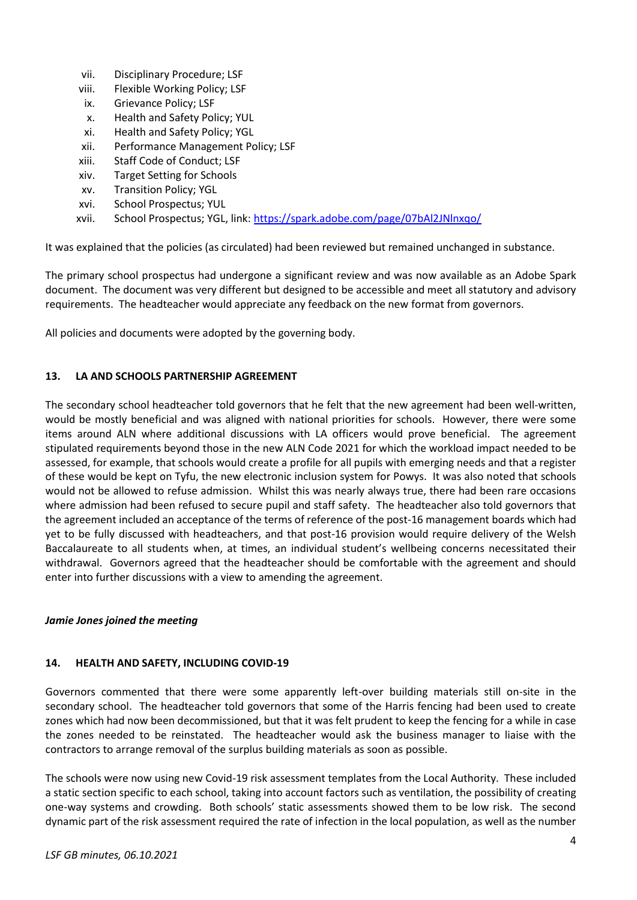- vii. Disciplinary Procedure; LSF
- viii. Flexible Working Policy; LSF
- ix. Grievance Policy; LSF
- x. Health and Safety Policy; YUL
- xi. Health and Safety Policy; YGL
- xii. Performance Management Policy; LSF
- xiii. Staff Code of Conduct; LSF
- xiv. Target Setting for Schools
- xv. Transition Policy; YGL
- xvi. School Prospectus; YUL
- xvii. School Prospectus; YGL, link:<https://spark.adobe.com/page/07bAl2JNlnxqo/>

It was explained that the policies (as circulated) had been reviewed but remained unchanged in substance.

The primary school prospectus had undergone a significant review and was now available as an Adobe Spark document. The document was very different but designed to be accessible and meet all statutory and advisory requirements. The headteacher would appreciate any feedback on the new format from governors.

All policies and documents were adopted by the governing body.

## **13. LA AND SCHOOLS PARTNERSHIP AGREEMENT**

The secondary school headteacher told governors that he felt that the new agreement had been well-written, would be mostly beneficial and was aligned with national priorities for schools. However, there were some items around ALN where additional discussions with LA officers would prove beneficial. The agreement stipulated requirements beyond those in the new ALN Code 2021 for which the workload impact needed to be assessed, for example, that schools would create a profile for all pupils with emerging needs and that a register of these would be kept on Tyfu, the new electronic inclusion system for Powys. It was also noted that schools would not be allowed to refuse admission. Whilst this was nearly always true, there had been rare occasions where admission had been refused to secure pupil and staff safety. The headteacher also told governors that the agreement included an acceptance of the terms of reference of the post-16 management boards which had yet to be fully discussed with headteachers, and that post-16 provision would require delivery of the Welsh Baccalaureate to all students when, at times, an individual student's wellbeing concerns necessitated their withdrawal. Governors agreed that the headteacher should be comfortable with the agreement and should enter into further discussions with a view to amending the agreement.

## *Jamie Jones joined the meeting*

## **14. HEALTH AND SAFETY, INCLUDING COVID-19**

Governors commented that there were some apparently left-over building materials still on-site in the secondary school. The headteacher told governors that some of the Harris fencing had been used to create zones which had now been decommissioned, but that it was felt prudent to keep the fencing for a while in case the zones needed to be reinstated. The headteacher would ask the business manager to liaise with the contractors to arrange removal of the surplus building materials as soon as possible.

The schools were now using new Covid-19 risk assessment templates from the Local Authority. These included a static section specific to each school, taking into account factors such as ventilation, the possibility of creating one-way systems and crowding. Both schools' static assessments showed them to be low risk. The second dynamic part of the risk assessment required the rate of infection in the local population, as well as the number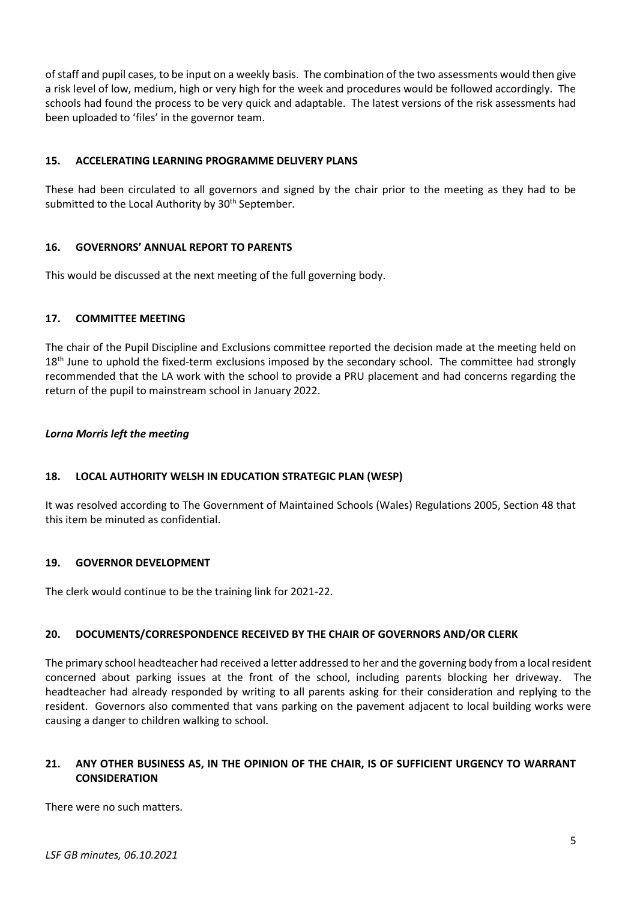of staff and pupil cases, to be input on a weekly basis. The combination of the two assessments would then give a risk level of low, medium, high or very high for the week and procedures would be followed accordingly. The schools had found the process to be very quick and adaptable. The latest versions of the risk assessments had been uploaded to 'files' in the governor team.

## **15. ACCELERATING LEARNING PROGRAMME DELIVERY PLANS**

These had been circulated to all governors and signed by the chair prior to the meeting as they had to be submitted to the Local Authority by 30<sup>th</sup> September.

## **16. GOVERNORS' ANNUAL REPORT TO PARENTS**

This would be discussed at the next meeting of the full governing body.

## **17. COMMITTEE MEETING**

The chair of the Pupil Discipline and Exclusions committee reported the decision made at the meeting held on 18<sup>th</sup> June to uphold the fixed-term exclusions imposed by the secondary school. The committee had strongly recommended that the LA work with the school to provide a PRU placement and had concerns regarding the return of the pupil to mainstream school in January 2022.

## *Lorna Morris left the meeting*

# **18. LOCAL AUTHORITY WELSH IN EDUCATION STRATEGIC PLAN (WESP)**

It was resolved according to The Government of Maintained Schools (Wales) Regulations 2005, Section 48 that this item be minuted as confidential.

## **19. GOVERNOR DEVELOPMENT**

The clerk would continue to be the training link for 2021-22.

## **20. DOCUMENTS/CORRESPONDENCE RECEIVED BY THE CHAIR OF GOVERNORS AND/OR CLERK**

The primary school headteacher had received a letter addressed to her and the governing body from a local resident concerned about parking issues at the front of the school, including parents blocking her driveway. The headteacher had already responded by writing to all parents asking for their consideration and replying to the resident. Governors also commented that vans parking on the pavement adjacent to local building works were causing a danger to children walking to school.

## **21. ANY OTHER BUSINESS AS, IN THE OPINION OF THE CHAIR, IS OF SUFFICIENT URGENCY TO WARRANT CONSIDERATION**

There were no such matters.